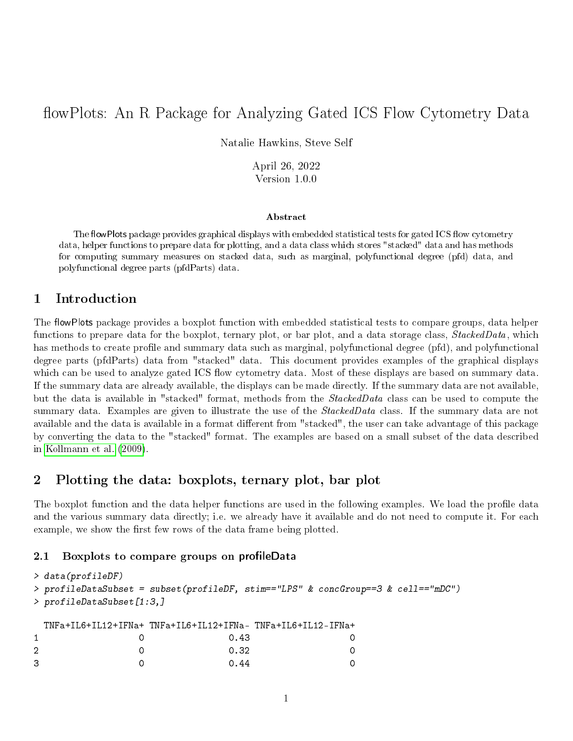# flowPlots: An R Package for Analyzing Gated ICS Flow Cytometry Data

Natalie Hawkins, Steve Self

April 26, 2022 Version 1.0.0

#### Abstract

The flowPlots package provides graphical displays with embedded statistical tests for gated ICS flow cytometry data, helper functions to prepare data for plotting, and a data class which stores "stacked" data and has methods for computing summary measures on stacked data, such as marginal, polyfunctional degree (pfd) data, and polyfunctional degree parts (pfdParts) data.

## 1 Introduction

The flowPlots package provides a boxplot function with embedded statistical tests to compare groups, data helper functions to prepare data for the boxplot, ternary plot, or bar plot, and a data storage class, StackedData, which has methods to create profile and summary data such as marginal, polyfunctional degree (pfd), and polyfunctional degree parts (pfdParts) data from "stacked" data. This document provides examples of the graphical displays which can be used to analyze gated ICS flow cytometry data. Most of these displays are based on summary data. If the summary data are already available, the displays can be made directly. If the summary data are not available, but the data is available in "stacked" format, methods from the StackedData class can be used to compute the summary data. Examples are given to illustrate the use of the *StackedData* class. If the summary data are not available and the data is available in a format different from "stacked", the user can take advantage of this package by converting the data to the "stacked" format. The examples are based on a small subset of the data described in [Kollmann et al.](#page-14-0) [\(2009\)](#page-14-0).

# 2 Plotting the data: boxplots, ternary plot, bar plot

The boxplot function and the data helper functions are used in the following examples. We load the profile data and the various summary data directly; i.e. we already have it available and do not need to compute it. For each example, we show the first few rows of the data frame being plotted.

#### 2.1 Boxplots to compare groups on profileData

```
> data(profileDF)
> profileDataSubset = subset(profileDF, stim=="LPS" & concGroup==3 & cell=="mDC")
> profileDataSubset[1:3,]
 TNFa+IL6+IL12+IFNa+ TNFa+IL6+IL12+IFNa- TNFa+IL6+IL12-IFNa+
1 0 0.43 0
2 0 0.32 0
3 0 0.44 0 0
```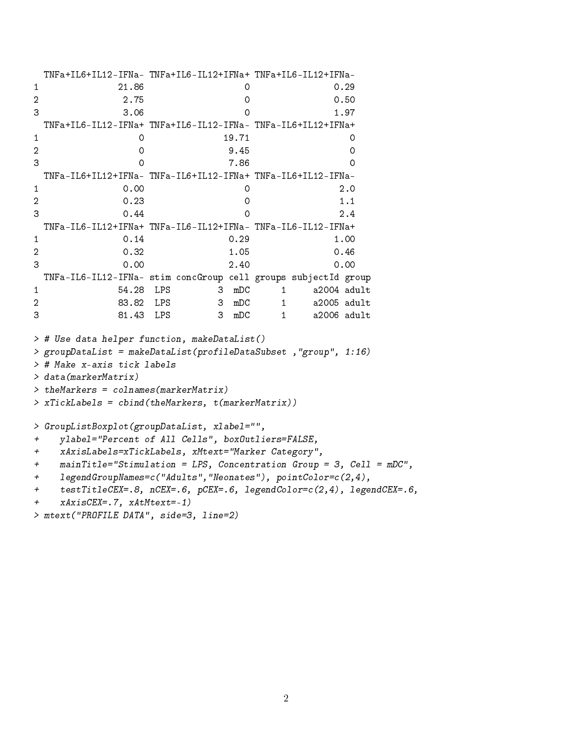```
TNFa+IL6+IL12-IFNa- TNFa+IL6-IL12+IFNa+ TNFa+IL6-IL12+IFNa-
1 21.86 0 0.29
2 2.75 0 0.50
3 3.06 0 1.97
 TNFa+IL6-IL12-IFNa+ TNFa+IL6-IL12-IFNa- TNFa-IL6+IL12+IFNa+
1 0 19.71 0
2 0 9.45 0
3 0 7.86 0
 TNFa-IL6+IL12+IFNa- TNFa-IL6+IL12-IFNa+ TNFa-IL6+IL12-IFNa-
1 0.00 0 2.0
2 0.23 0 1.1
3 \t 0.44 0 2.4
 TNFa-IL6-IL12+IFNa+ TNFa-IL6-IL12+IFNa- TNFa-IL6-IL12-IFNa+
1 0.14 0.29 1.00
2 0.32 1.05 0.46
3 0.00 2.40 0.00
 TNFa-IL6-IL12-IFNa- stim concGroup cell groups subjectId group
1 54.28 LPS 3 mDC 1 a2004 adult
2 83.82 LPS 3 mDC 1 a2005 adult
3 81.43 LPS 3 mDC 1 a2006 adult
> # Use data helper function, makeDataList()
> groupDataList = makeDataList(profileDataSubset ,"group", 1:16)
> # Make x-axis tick labels
> data(markerMatrix)
> theMarkers = colnames(markerMatrix)
> xTickLabels = cbind(theMarkers, t(markerMatrix))
> GroupListBoxplot(groupDataList, xlabel="",
+ ylabel="Percent of All Cells", boxOutliers=FALSE,
+ xAxisLabels=xTickLabels, xMtext="Marker Category",
+ mainTitle="Stimulation = LPS, Concentration Group = 3, Cell = mDC",
+ legendGroupNames=c("Adults","Neonates"), pointColor=c(2,4),
+ testTitleCEX=.8, nCEX=.6, pCEX=.6, legendColor=c(2,4), legendCEX=.6,
+ xAxisCEX=.7, xAtMtext=-1)
> mtext("PROFILE DATA", side=3, line=2)
```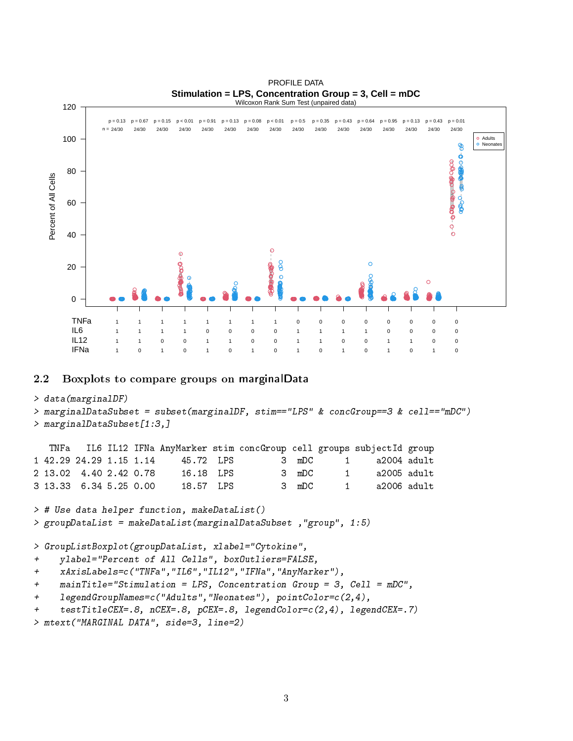

## 2.2 Boxplots to compare groups on marginalData

### > data(marginalDF)

```
> marginalDataSubset = subset(marginalDF, stim=="LPS" & concGroup==3 & cell=="mDC")
> marginalDataSubset[1:3,]
```

|  |                         |  |           | TNFa IL6 IL12 IFNa AnyMarker stim concGroup cell groups subjectId group |       |              |                     |  |
|--|-------------------------|--|-----------|-------------------------------------------------------------------------|-------|--------------|---------------------|--|
|  | 1 42.29 24.29 1.15 1.14 |  | 45.72 IPS |                                                                         |       |              | 3 mDC 1 a2004 adult |  |
|  | 2 13.02 4.40 2.42 0.78  |  | 16.18 IPS |                                                                         | 3 mDC | $\mathbf{1}$ | a2005 adult         |  |
|  | 3 13.33 6.34 5.25 0.00  |  | 18.57 LPS |                                                                         | 3 mDC |              | 1 a2006 adult       |  |

> # Use data helper function, makeDataList() > groupDataList = makeDataList(marginalDataSubset ,"group", 1:5)

> GroupListBoxplot(groupDataList, xlabel="Cytokine",

```
+ ylabel="Percent of All Cells", boxOutliers=FALSE,
```
- + xAxisLabels=c("TNFa","IL6","IL12","IFNa","AnyMarker"),
- + mainTitle="Stimulation = LPS, Concentration Group = 3, Cell = mDC",
- + legendGroupNames=c("Adults","Neonates"), pointColor=c(2,4),
- + testTitleCEX=.8, nCEX=.8, pCEX=.8, legendColor=c(2,4), legendCEX=.7)

```
> mtext("MARGINAL DATA", side=3, line=2)
```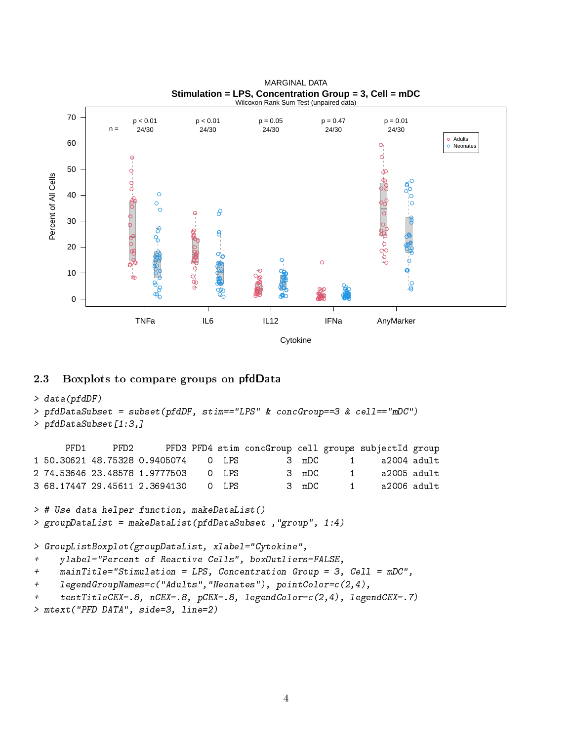

### **Stimulation = LPS, Concentration Group = 3, Cell = mDC** MARGINAL DATA

# 2.3 Boxplots to compare groups on pfdData

```
> data(pfdDF)
> pfdDataSubset = subset(pfdDF, stim=="LPS" & concGroup==3 & cell=="mDC")
> pfdDataSubset[1:3,]
```
PFD1 PFD2 PFD3 PFD4 stim concGroup cell groups subjectId group 1 50.30621 48.75328 0.9405074 0 LPS 3 mDC 1 a2004 adult 2 74.53646 23.48578 1.9777503 0 LPS 3 mDC 1 a2005 adult 3 68.17447 29.45611 2.3694130 0 LPS 3 mDC 1 a2006 adult

> # Use data helper function, makeDataList() > groupDataList = makeDataList(pfdDataSubset ,"group", 1:4)

> GroupListBoxplot(groupDataList, xlabel="Cytokine",

```
+ ylabel="Percent of Reactive Cells", boxOutliers=FALSE,
```
+ mainTitle="Stimulation = LPS, Concentration Group = 3, Cell = mDC",

```
+ legendGroupNames=c("Adults","Neonates"), pointColor=c(2,4),
```

```
+ testTitleCEX=.8, nCEX=.8, pCEX=.8, legendColor=c(2,4), legendCEX=.7)
```

```
> mtext("PFD DATA", side=3, line=2)
```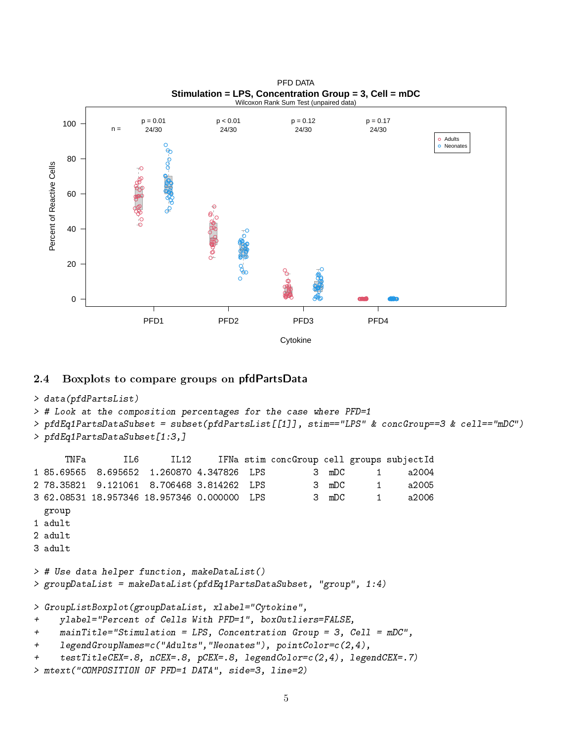

#### **Stimulation = LPS, Concentration Group = 3, Cell = mDC** PFD DATA

## 2.4 Boxplots to compare groups on pfdPartsData

```
> data(pfdPartsList)
> # Look at the composition percentages for the case where PFD=1
> pfdEq1PartsDataSubset = subset(pfdPartsList[[1]], stim=="LPS" & concGroup==3 & cell=="mDC")
> pfdEq1PartsDataSubset[1:3,]
     TNFa IL6 IL12 IFNa stim concGroup cell groups subjectId
1 85.69565 8.695652 1.260870 4.347826 LPS 3 mDC 1 a2004
2 78.35821 9.121061 8.706468 3.814262 LPS 3 mDC 1 a2005
3 62.08531 18.957346 18.957346 0.000000 LPS 3 mDC 1 a2006
 group
1 adult
2 adult
3 adult
> # Use data helper function, makeDataList()
> groupDataList = makeDataList(pfdEq1PartsDataSubset, "group", 1:4)
> GroupListBoxplot(groupDataList, xlabel="Cytokine",
+ ylabel="Percent of Cells With PFD=1", boxOutliers=FALSE,
+ mainTitle="Stimulation = LPS, Concentration Group = 3, Cell = mDC",
+ legendGroupNames=c("Adults","Neonates"), pointColor=c(2,4),
+ testTitleCEX=.8, nCEX=.8, pCEX=.8, legendColor=c(2,4), legendCEX=.7)
> mtext("COMPOSITION OF PFD=1 DATA", side=3, line=2)
```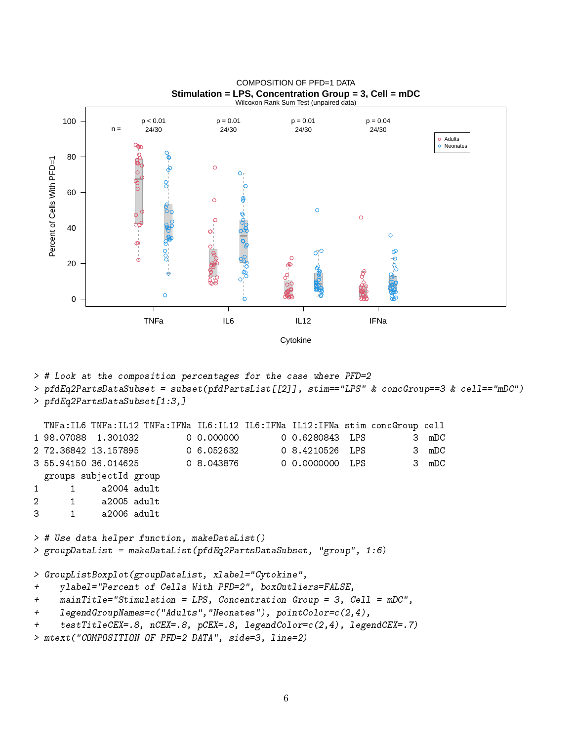

**Stimulation = LPS, Concentration Group = 3, Cell = mDC** COMPOSITION OF PFD=1 DATA

> # Look at the composition percentages for the case where PFD=2

> pfdEq2PartsDataSubset = subset(pfdPartsList[[2]], stim=="LPS" & concGroup==3 & cell=="mDC") > pfdEq2PartsDataSubset[1:3,]

```
TNFa:IL6 TNFa:IL12 TNFa:IFNa IL6:IL12 IL6:IFNa IL12:IFNa stim concGroup cell
1 98.07088 1.301032 0 0.000000 0 0.6280843 LPS 3 mDC
2 72.36842 13.157895 0 6.052632 0 8.4210526 LPS 3 mDC
3 55.94150 36.014625 0 8.043876 0 0.0000000 LPS 3 mDC
 groups subjectId group
1 1 a2004 adult
2 1 a2005 adult
3 1 a2006 adult
> # Use data helper function, makeDataList()
> groupDataList = makeDataList(pfdEq2PartsDataSubset, "group", 1:6)
> GroupListBoxplot(groupDataList, xlabel="Cytokine",
+ ylabel="Percent of Cells With PFD=2", boxOutliers=FALSE,
+ mainTitle="Stimulation = LPS, Concentration Group = 3, Cell = mDC",
```

```
+ legendGroupNames=c("Adults","Neonates"), pointColor=c(2,4),
```

```
+ testTitleCEX=.8, nCEX=.8, pCEX=.8, legendColor=c(2,4), legendCEX=.7)
```

```
> mtext("COMPOSITION OF PFD=2 DATA", side=3, line=2)
```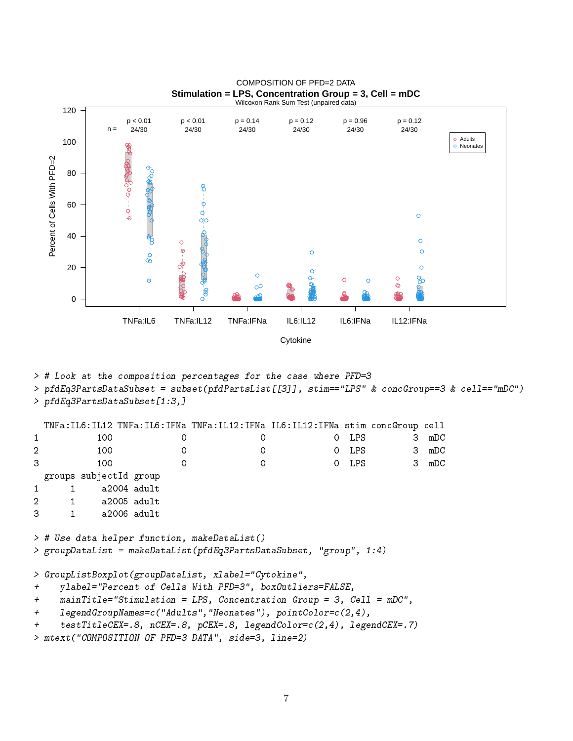

**Stimulation = LPS, Concentration Group = 3, Cell = mDC** COMPOSITION OF PFD=2 DATA

> # Look at the composition percentages for the case where PFD=3

> pfdEq3PartsDataSubset = subset(pfdPartsList[[3]], stim=="LPS" & concGroup==3 & cell=="mDC") > pfdEq3PartsDataSubset[1:3,]

```
TNFa:IL6:IL12 TNFa:IL6:IFNa TNFa:IL12:IFNa IL6:IL12:IFNa stim concGroup cell
1 100 0 0 0 DPS 3 mDC
2 100 0 0 0 DPS 3 mDC
3 100 0 0 0 DPS 3 mDC
 groups subjectId group
1 1 a2004 adult
2 1 a2005 adult
3 1 a2006 adult
> # Use data helper function, makeDataList()
> groupDataList = makeDataList(pfdEq3PartsDataSubset, "group", 1:4)
> GroupListBoxplot(groupDataList, xlabel="Cytokine",
+ ylabel="Percent of Cells With PFD=3", boxOutliers=FALSE,
+ mainTitle="Stimulation = LPS, Concentration Group = 3, Cell = mDC",
+ legendGroupNames=c("Adults","Neonates"), pointColor=c(2,4),
+ testTitleCEX=.8, nCEX=.8, pCEX=.8, legendColor=c(2,4), legendCEX=.7)
```
> mtext("COMPOSITION OF PFD=3 DATA", side=3, line=2)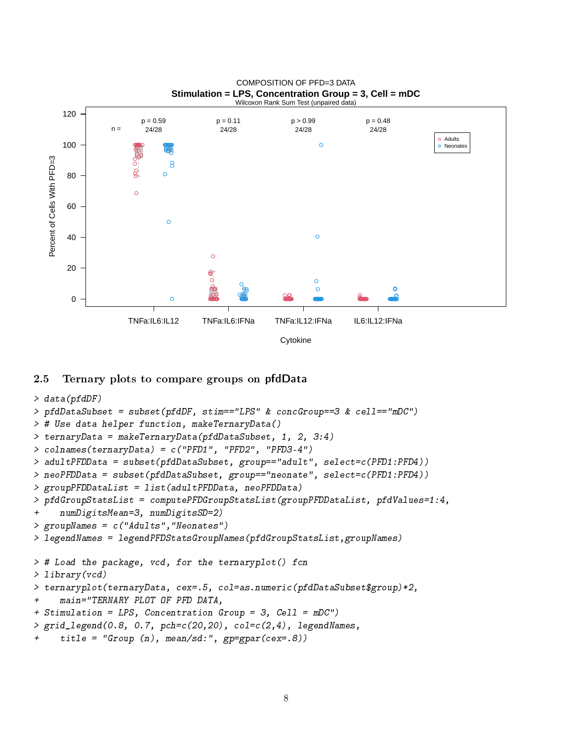

#### **Stimulation = LPS, Concentration Group = 3, Cell = mDC** COMPOSITION OF PFD=3 DATA

## 2.5 Ternary plots to compare groups on pfdData

```
> data(pfdDF)
> pfdDataSubset = subset(pfdDF, stim=="LPS" & concGroup==3 & cell=="mDC")
> # Use data helper function, makeTernaryData()
> ternaryData = makeTernaryData(pfdDataSubset, 1, 2, 3:4)
> colnames(ternaryData) = c("PFD1", "PFD2", "PFD3-4")
> adultPFDData = subset(pfdDataSubset, group=="adult", select=c(PFD1:PFD4))
> neoPFDData = subset(pfdDataSubset, group=="neonate", select=c(PFD1:PFD4))
> groupPFDDataList = list(adultPFDData, neoPFDData)
> pfdGroupStatsList = computePFDGroupStatsList(groupPFDDataList, pfdValues=1:4,
+ numDigitsMean=3, numDigitsSD=2)
> groupNames = c("Adults","Neonates")
> legendNames = legendPFDStatsGroupNames(pfdGroupStatsList,groupNames)
> # Load the package, vcd, for the ternaryplot() fcn
> library(vcd)
> ternaryplot(ternaryData, cex=.5, col=as.numeric(pfdDataSubset$group)*2,
+ main="TERNARY PLOT OF PFD DATA,
+ Stimulation = LPS, Concentration Group = 3, Cell = mDC")
> grid\_legend(0.8, 0.7, pch=c(20, 20), col=c(2, 4), legendNames,+ title = "Group (n), mean/sd:", gp=gpar(cex=.8))
```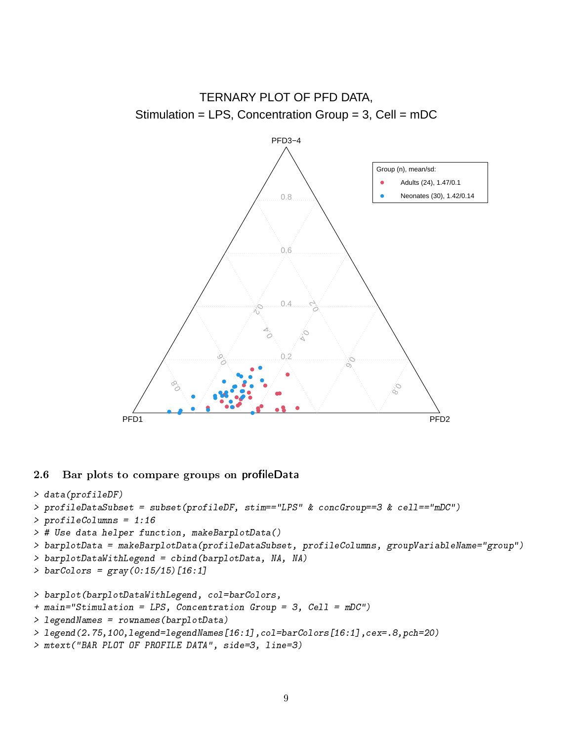

# 2.6 Bar plots to compare groups on profileData

```
> data(profileDF)
> profileDataSubset = subset(profileDF, stim=="LPS" & concGroup==3 & cell=="mDC")
> profileColumns = 1:16
> # Use data helper function, makeBarplotData()
> barplotData = makeBarplotData(profileDataSubset, profileColumns, groupVariableName="group")
> barplotDataWithLegend = cbind(barplotData, NA, NA)
> barCoIors = gray(0:15/15)[16:1]> barplot(barplotDataWithLegend, col=barColors,
+ main="Stimulation = LPS, Concentration Group = 3, Cell = mDC")
> legendNames = rownames(barplotData)
> legend(2.75,100,legend=legendNames[16:1],col=barColors[16:1],cex=.8,pch=20)
```
> mtext("BAR PLOT OF PROFILE DATA", side=3, line=3)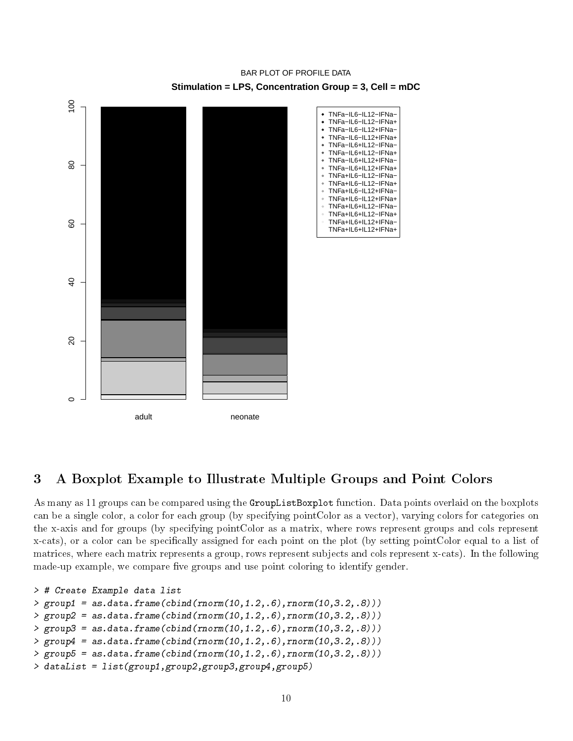

# **Stimulation = LPS, Concentration Group = 3, Cell = mDC** BAR PLOT OF PROFILE DATA

# 3 A Boxplot Example to Illustrate Multiple Groups and Point Colors

As many as 11 groups can be compared using the GroupListBoxplot function. Data points overlaid on the boxplots can be a single color, a color for each group (by specifying pointColor as a vector), varying colors for categories on the x-axis and for groups (by specifying pointColor as a matrix, where rows represent groups and cols represent x-cats), or a color can be specifically assigned for each point on the plot (by setting pointColor equal to a list of matrices, where each matrix represents a group, rows represent subjects and cols represent x-cats). In the following made-up example, we compare five groups and use point coloring to identify gender.

```
> # Create Example data list
> group1 = as.data.frame(cbind(rnorm(10,1.2,.6),rnorm(10,3.2,.8)))
> group2 = as.data.frame(cbind(rnorm(10,1.2,.6),rnorm(10,3.2,.8)))
> group3 = as.data.frame(cbind(rnorm(10,1.2,.6),rnorm(10,3.2,.8)))
> group4 = as.data.frame(cbind(rnorm(10,1.2,.6),rnorm(10,3.2,.8)))
> group5 = as.data.frame(cbind(rnorm(10,1.2,.6),rnorm(10,3.2,.8)))
> dataList = list(group1,group2,group3,group4,group5)
```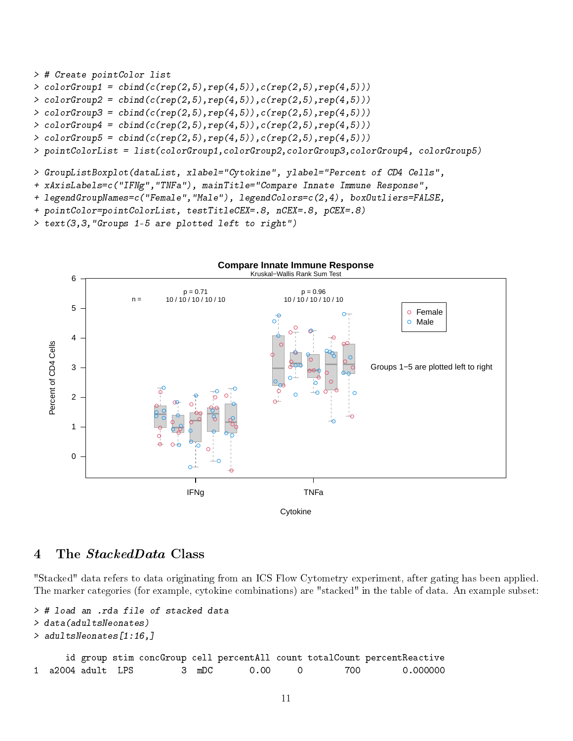```
> # Create pointColor list
> \text{colorGroup1} = \text{cbind}(c(\text{rep}(2,5),\text{rep}(4,5)),c(\text{rep}(2,5),\text{rep}(4,5)))> \text{colorGroup2 = chind}(c(\text{rep}(2,5),\text{rep}(4,5)),c(\text{rep}(2,5),\text{rep}(4,5)))> \text{colorGroup3} = \text{cbind}(c(\text{rep}(2,5),\text{rep}(4,5)),c(\text{rep}(2,5),\text{rep}(4,5)))> \text{colorGroup4} = \text{cbind}(c(\text{rep}(2,5), \text{rep}(4,5)), c(\text{rep}(2,5), \text{rep}(4,5)))> \text{colorGroup5} = \text{cbind}(c(\text{rep}(2,5), \text{rep}(4,5)), c(\text{rep}(2,5), \text{rep}(4,5)))> pointColorList = list(colorGroup1,colorGroup2,colorGroup3,colorGroup4, colorGroup5)
```

```
> GroupListBoxplot(dataList, xlabel="Cytokine", ylabel="Percent of CD4 Cells",
```

```
+ xAxisLabels=c("IFNg","TNFa"), mainTitle="Compare Innate Immune Response",
```
- + legendGroupNames=c("Female","Male"), legendColors=c(2,4), boxOutliers=FALSE,
- + pointColor=pointColorList, testTitleCEX=.8, nCEX=.8, pCEX=.8)

```
> text(3,3,"Groups 1-5 are plotted left to right")
```


# 4 The *StackedData* Class

"Stacked" data refers to data originating from an ICS Flow Cytometry experiment, after gating has been applied. The marker categories (for example, cytokine combinations) are "stacked" in the table of data. An example subset:

```
> # load an .rda file of stacked data
> data(adultsNeonates)
> adultsNeonates[1:16,]
     id group stim concGroup cell percentAll count totalCount percentReactive
1 a2004 adult LPS 3 mDC 0.00 0 700 0.000000
```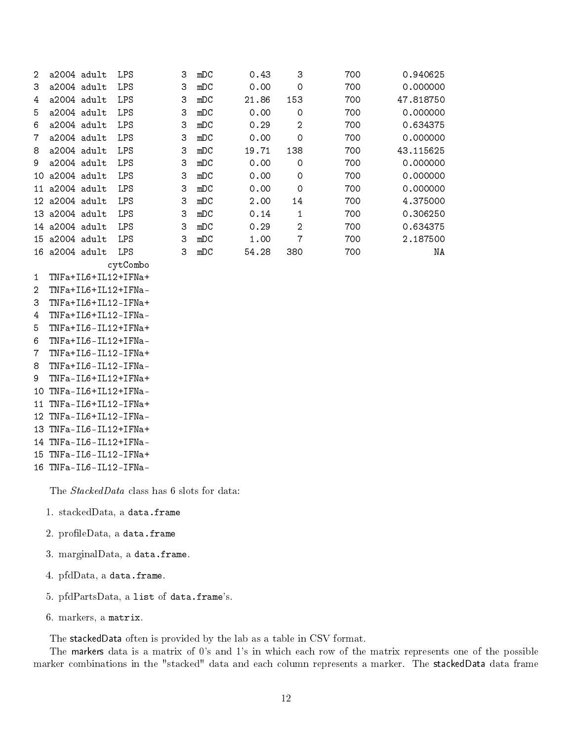| $\mathcal{L}$ | $a2004$ adult       | <b>LPS</b> | 3 | mDC | 0.43  | 3              | 700 | 0.940625  |
|---------------|---------------------|------------|---|-----|-------|----------------|-----|-----------|
| 3             | a2004 adult         | <b>LPS</b> | 3 | mDC | 0.00  | 0              | 700 | 0.000000  |
| 4             | a2004 adult         | LPS        | 3 | mDC | 21.86 | 153            | 700 | 47.818750 |
| 5.            | $a2004$ adult       | LPS        | 3 | mDC | 0.00  | $\circ$        | 700 | 0.000000  |
| 6             | $a2004$ adult       | <b>LPS</b> | 3 | mDC | 0.29  | $\overline{2}$ | 700 | 0.634375  |
| 7             | a2004 adult         | <b>LPS</b> | 3 | mDC | 0.00  | 0              | 700 | 0.000000  |
| 8             | $a2004$ adult       | <b>LPS</b> | 3 | mDC | 19.71 | 138            | 700 | 43.115625 |
| 9             | a2004 adult         | <b>LPS</b> | 3 | mDC | 0.00  | 0              | 700 | 0.000000  |
| 10.           | a2004 adult         | <b>LPS</b> | 3 | mDC | 0.00  | 0              | 700 | 0.000000  |
| 11            | a2004 adult         | <b>LPS</b> | 3 | mDC | 0.00  | $\circ$        | 700 | 0.000000  |
|               | $12$ a $2004$ adult | <b>LPS</b> | 3 | mDC | 2.00  | 14             | 700 | 4.375000  |
|               | $13$ a $2004$ adult | LPS        | 3 | mDC | 0.14  | 1              | 700 | 0.306250  |
|               | 14 a2004 adult      | <b>LPS</b> | 3 | mDC | 0.29  | $\overline{2}$ | 700 | 0.634375  |
|               | $15$ a $2004$ adult | LPS        | 3 | mDC | 1.00  | 7              | 700 | 2.187500  |
| 16.           | a2004 adult         | <b>LPS</b> | З | mDC | 54.28 | 380            | 700 | ΝA        |

cytCombo

- 1 TNFa+IL6+IL12+IFNa+ 2 TNFa+IL6+IL12+IFNa-
- 3 TNFa+IL6+IL12-IFNa+
- 4 TNFa+IL6+IL12-IFNa-
- 5 TNFa+IL6-IL12+IFNa+
- 6 TNFa+IL6-IL12+IFNa-
- 7 TNFa+IL6-IL12-IFNa+
- 8 TNFa+IL6-IL12-IFNa-
- 9 TNFa-IL6+IL12+IFNa+
- 10 TNFa-IL6+IL12+IFNa-
- 11 TNFa-IL6+IL12-IFNa+
- 12 TNFa-IL6+IL12-IFNa-
- 13 TNFa-IL6-IL12+IFNa+
- 14 TNFa-IL6-IL12+IFNa-
- 15 TNFa-IL6-IL12-IFNa+
- 16 TNFa-IL6-IL12-IFNa-

The *StackedData* class has 6 slots for data:

- 1. stackedData, a data.frame
- $2.$  profileData, a data.frame
- 3. marginalData, a data.frame.
- 4. pfdData, a data.frame.
- 5. pfdPartsData, a list of data.frame's.
- 6. markers, a matrix.

The stackedData often is provided by the lab as a table in CSV format.

The markers data is a matrix of 0's and 1's in which each row of the matrix represents one of the possible marker combinations in the "stacked" data and each column represents a marker. The stackedData data frame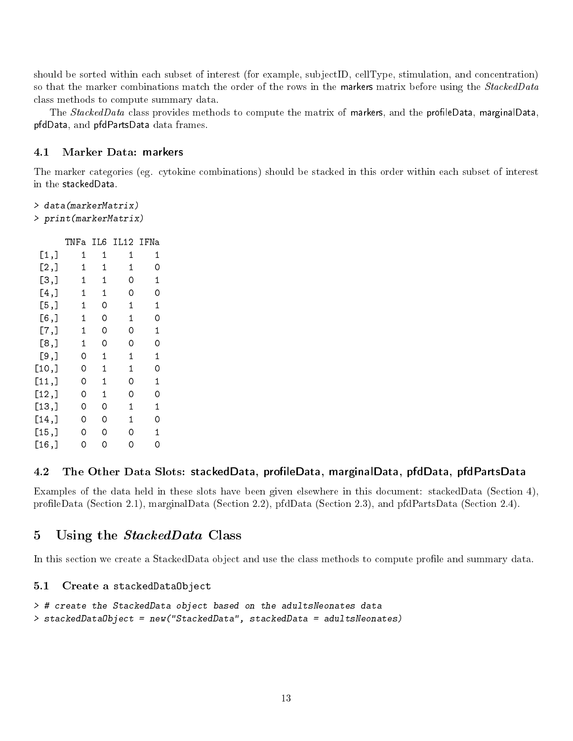should be sorted within each subset of interest (for example, subjectID, cellType, stimulation, and concentration) so that the marker combinations match the order of the rows in the markers matrix before using the StackedData class methods to compute summary data.

The StackedData class provides methods to compute the matrix of markers, and the profileData, marginalData, pfdData, and pfdPartsData data frames.

### 4.1 Marker Data: markers

The marker categories (eg. cytokine combinations) should be stacked in this order within each subset of interest in the stackedData.

```
> data(markerMatrix)
> print(markerMatrix)
```

```
TNFa IL6 IL12 IFNa
[1,] 1 1 1 1
[2,] 1 1 1 0
[3,] 1 1 0 1
[4,] 1 1 0 0
[5,] 1 0 1 1
[6,] 1 0 1 0
[7,] 1 0 0 1
[8,] 1 0 0 0
[9,] 0 1 1 1
[10,] 0 1 1 0[11,] 0 1 0 1
[12,] 0 1 0 0[13,] 0 0 1 1[14,] 0 0 1 0[15,] 0 0 0 1
[16,] 0 0 0 0
```
## 4.2 The Other Data Slots: stackedData, profileData, marginalData, pfdData, pfdPartsData

Examples of the data held in these slots have been given elsewhere in this document: stackedData (Section 4), profileData (Section 2.1), marginalData (Section 2.2), pfdData (Section 2.3), and pfdPartsData (Section 2.4).

## 5 Using the *StackedData* Class

In this section we create a StackedData object and use the class methods to compute profile and summary data.

### 5.1 Create a stackedDataObject

```
> # create the StackedData object based on the adultsNeonates data
> stackedDataObject = new("StackedData", stackedData = adultsNeonates)
```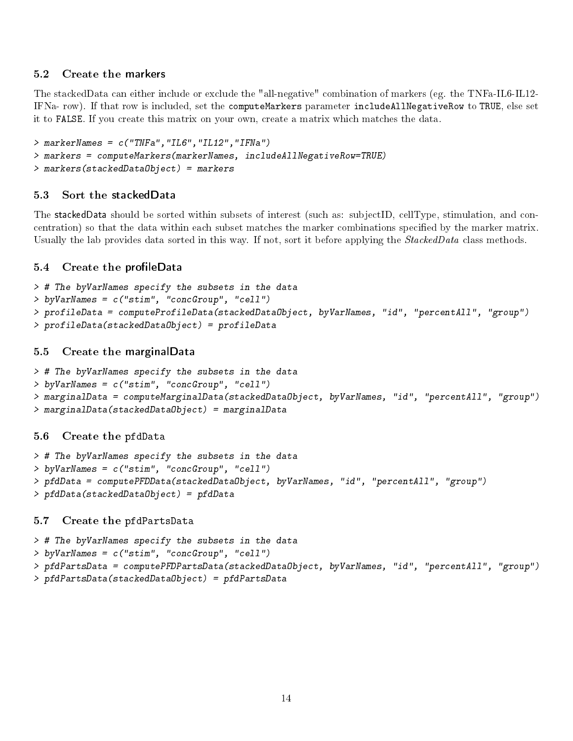# 5.2 Create the markers

The stackedData can either include or exclude the "all-negative" combination of markers (eg. the TNFa-IL6-IL12- IFNa- row). If that row is included, set the computeMarkers parameter includeAllNegativeRow to TRUE, else set it to FALSE. If you create this matrix on your own, create a matrix which matches the data.

```
> markerNames = c("TNFa","IL6","IL12","IFNa")
> markers = computeMarkers(markerNames, includeAllNegativeRow=TRUE)
> markers(stackedDataObject) = markers
```
# 5.3 Sort the stackedData

The stackedData should be sorted within subsets of interest (such as: subjectID, cellType, stimulation, and concentration) so that the data within each subset matches the marker combinations specified by the marker matrix. Usually the lab provides data sorted in this way. If not, sort it before applying the *StackedData* class methods.

# 5.4 Create the profileData

```
> # The byVarNames specify the subsets in the data
> byVarNames = c("stim", "concGroup", "cell")
> profileData = computeProfileData(stackedDataObject, byVarNames, "id", "percentAll", "group")
> profileData(stackedDataObject) = profileData
```
## 5.5 Create the marginalData

```
> # The byVarNames specify the subsets in the data
> byVarNames = c("stim", "concGroup", "cell")
> marginalData = computeMarginalData(stackedDataObject, byVarNames, "id", "percentAll", "group")
> marginalData(stackedDataObject) = marginalData
```
## 5.6 Create the pfdData

```
> # The byVarNames specify the subsets in the data
> byVarNames = c("stim", "concGroup", "cell")
> pfdData = computePFDData(stackedDataObject, byVarNames, "id", "percentAll", "group")
> pfdData(stackedDataObject) = pfdData
```
## 5.7 Create the pfdPartsData

```
> # The byVarNames specify the subsets in the data
> byVarNames = c("stim", "concGroup", "cell")
> pfdPartsData = computePFDPartsData(stackedDataObject, byVarNames, "id", "percentAll", "group")
> pfdPartsData(stackedDataObject) = pfdPartsData
```